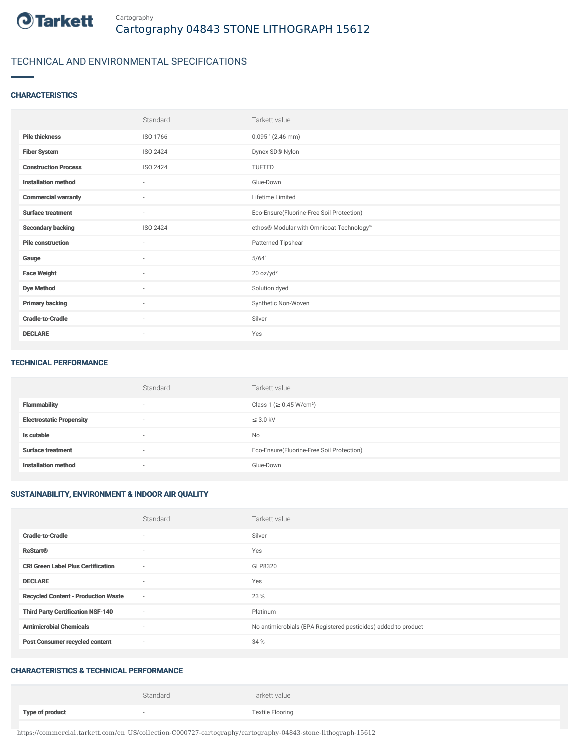

# TECHNICAL AND ENVIRONMENTAL SPECIFICATIONS

### **CHARACTERISTICS**

|                             | Standard                 | Tarkett value                             |
|-----------------------------|--------------------------|-------------------------------------------|
| <b>Pile thickness</b>       | ISO 1766                 | $0.095$ " (2.46 mm)                       |
| <b>Fiber System</b>         | <b>ISO 2424</b>          | Dynex SD® Nylon                           |
| <b>Construction Process</b> | <b>ISO 2424</b>          | TUFTED                                    |
| <b>Installation method</b>  | $\sim$                   | Glue-Down                                 |
| <b>Commercial warranty</b>  | $\sim$                   | Lifetime Limited                          |
| <b>Surface treatment</b>    | $\sim$                   | Eco-Ensure(Fluorine-Free Soil Protection) |
| <b>Secondary backing</b>    | <b>ISO 2424</b>          | ethos® Modular with Omnicoat Technology™  |
| <b>Pile construction</b>    | $\sim$                   | Patterned Tipshear                        |
| Gauge                       | $\sim$                   | 5/64"                                     |
| <b>Face Weight</b>          | $\sim$                   | 20 oz/yd <sup>2</sup>                     |
| <b>Dye Method</b>           | ×                        | Solution dyed                             |
| <b>Primary backing</b>      | $\overline{\phantom{a}}$ | Synthetic Non-Woven                       |
| <b>Cradle-to-Cradle</b>     | ٠                        | Silver                                    |
| <b>DECLARE</b>              | ٠                        | Yes                                       |

#### TECHNICAL PERFORMANCE

|                                 | Standard                 | Tarkett value                             |
|---------------------------------|--------------------------|-------------------------------------------|
| <b>Flammability</b>             | $\overline{\phantom{a}}$ | Class 1 (≥ 0.45 W/cm <sup>2</sup> )       |
| <b>Electrostatic Propensity</b> | $\overline{\phantom{a}}$ | $\leq$ 3.0 kV                             |
| Is cutable                      | $\overline{\phantom{a}}$ | <b>No</b>                                 |
| <b>Surface treatment</b>        | $\overline{\phantom{a}}$ | Eco-Ensure(Fluorine-Free Soil Protection) |
| <b>Installation method</b>      | $\overline{\phantom{a}}$ | Glue-Down                                 |

#### SUSTAINABILITY, ENVIRONMENT & INDOOR AIR QUALITY

|                                            | Standard | Tarkett value                                                  |
|--------------------------------------------|----------|----------------------------------------------------------------|
| <b>Cradle-to-Cradle</b>                    | $\sim$   | Silver                                                         |
| <b>ReStart®</b>                            | $\sim$   | Yes                                                            |
| <b>CRI Green Label Plus Certification</b>  | $\sim$   | GLP8320                                                        |
| <b>DECLARE</b>                             | $\sim$   | Yes                                                            |
| <b>Recycled Content - Production Waste</b> | $\sim$   | 23 %                                                           |
| <b>Third Party Certification NSF-140</b>   | $\sim$   | Platinum                                                       |
| <b>Antimicrobial Chemicals</b>             | $\sim$   | No antimicrobials (EPA Registered pesticides) added to product |
| <b>Post Consumer recycled content</b>      | $\sim$   | 34 %                                                           |

## CHARACTERISTICS & TECHNICAL PERFORMANCE

|                        | Standard | Tarkett value           |
|------------------------|----------|-------------------------|
| <b>Type of product</b> |          | <b>Textile Flooring</b> |